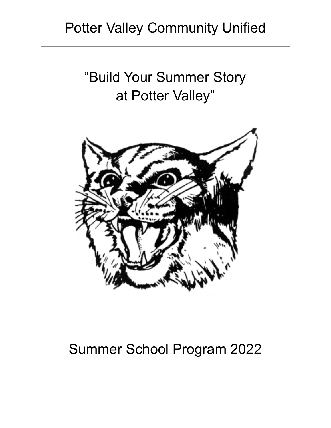# "Build Your Summer Story at Potter Valley"



# Summer School Program 2022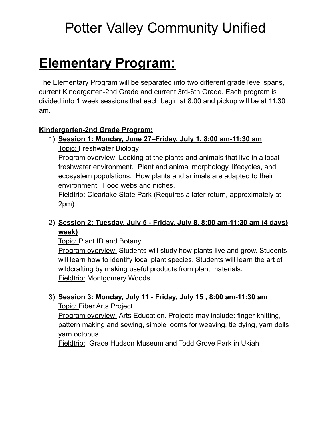# **Elementary Program:**

The Elementary Program will be separated into two different grade level spans, current Kindergarten-2nd Grade and current 3rd-6th Grade. Each program is divided into 1 week sessions that each begin at 8:00 and pickup will be at 11:30 am.

# **Kindergarten-2nd Grade Program:**

# 1) **Session 1: Monday, June 27–Friday, July 1, 8:00 am-11:30 am** Topic: Freshwater Biology

Program overview: Looking at the plants and animals that live in a local freshwater environment. Plant and animal morphology, lifecycles, and ecosystem populations. How plants and animals are adapted to their environment. Food webs and niches.

Fieldtrip: Clearlake State Park (Requires a later return, approximately at 2pm)

# 2) **Session 2: Tuesday, July 5 - Friday, July 8, 8:00 am-11:30 am (4 days) week)**

Topic: Plant ID and Botany

**Program overview:** Students will study how plants live and grow. Students will learn how to identify local plant species. Students will learn the art of wildcrafting by making useful products from plant materials. Fieldtrip: Montgomery Woods

# 3) **Session 3: Monday, July 11 - Friday, July 15 , 8:00 am-11:30 am**

Topic: Fiber Arts Project

Program overview: Arts Education. Projects may include: finger knitting, pattern making and sewing, simple looms for weaving, tie dying, yarn dolls, yarn octopus.

Fieldtrip: Grace Hudson Museum and Todd Grove Park in Ukiah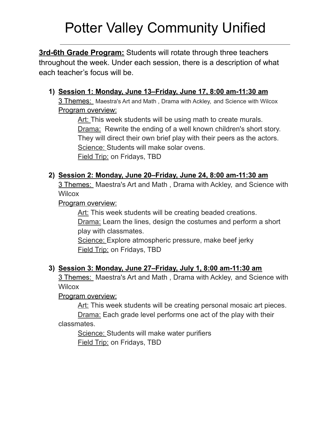**3rd-6th Grade Program:** Students will rotate through three teachers throughout the week. Under each session, there is a description of what each teacher's focus will be.

# **1) Session 1: Monday, June 13–Friday, June 17, 8:00 am-11:30 am**

3 Themes: Maestra's Art and Math , Drama with Ackley, and Science with Wilcox Program overview:

Art: This week students will be using math to create murals. Drama: Rewrite the ending of a well known children's short story. They will direct their own brief play with their peers as the actors. Science: Students will make solar ovens. Field Trip: on Fridays, TBD

### **2) Session 2: Monday, June 20–Friday, June 24, 8:00 am-11:30 am**

3 Themes: Maestra's Art and Math , Drama with Ackley, and Science with **Wilcox** 

Program overview:

Art: This week students will be creating beaded creations. Drama: Learn the lines, design the costumes and perform a short play with classmates.

Science: Explore atmospheric pressure, make beef jerky Field Trip: on Fridays, TBD

#### **3) Session 3: Monday, June 27–Friday, July 1, 8:00 am-11:30 am**

3 Themes: Maestra's Art and Math , Drama with Ackley, and Science with **Wilcox** 

Program overview:

Art: This week students will be creating personal mosaic art pieces.

Drama: Each grade level performs one act of the play with their classmates.

Science: Students will make water purifiers Field Trip: on Fridays, TBD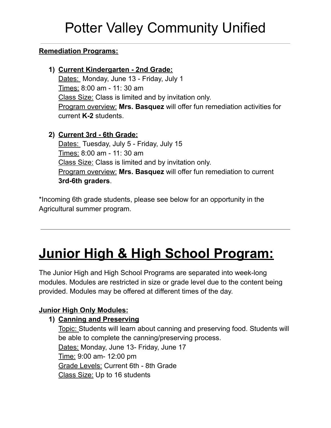### **Remediation Programs:**

**1) Current Kindergarten - 2nd Grade:** Dates: Monday, June 13 - Friday, July 1 Times: 8:00 am - 11: 30 am Class Size: Class is limited and by invitation only. Program overview: **Mrs. Basquez** will offer fun remediation activities for current **K-2** students.

### **2) Current 3rd - 6th Grade:**

Dates: Tuesday, July 5 - Friday, July 15 Times: 8:00 am - 11: 30 am Class Size: Class is limited and by invitation only. Program overview: **Mrs. Basquez** will offer fun remediation to current **3rd-6th graders**.

\*Incoming 6th grade students, please see below for an opportunity in the Agricultural summer program.

# **Junior High & High School Program:**

The Junior High and High School Programs are separated into week-long modules. Modules are restricted in size or grade level due to the content being provided. Modules may be offered at different times of the day.

# **Junior High Only Modules:**

#### **1) Canning and Preserving**

Topic: Students will learn about canning and preserving food. Students will be able to complete the canning/preserving process. Dates: Monday, June 13- Friday, June 17 Time: 9:00 am- 12:00 pm Grade Levels: Current 6th - 8th Grade Class Size: Up to 16 students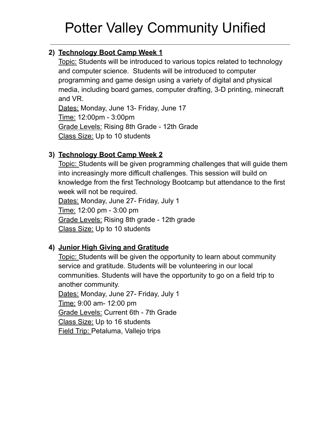# **2) Technology Boot Camp Week 1**

Topic: Students will be introduced to various topics related to technology and computer science. Students will be introduced to computer programming and game design using a variety of digital and physical media, including board games, computer drafting, 3-D printing, minecraft and VR.

Dates: Monday, June 13- Friday, June 17 Time: 12:00pm - 3:00pm Grade Levels: Rising 8th Grade - 12th Grade Class Size: Up to 10 students

# **3) Technology Boot Camp Week 2**

Topic: Students will be given programming challenges that will guide them into increasingly more difficult challenges. This session will build on knowledge from the first Technology Bootcamp but attendance to the first week will not be required. Dates: Monday, June 27- Friday, July 1 Time: 12:00 pm - 3:00 pm Grade Levels: Rising 8th grade - 12th grade

Class Size: Up to 10 students

# **4) Junior High Giving and Gratitude**

Topic: Students will be given the opportunity to learn about community service and gratitude. Students will be volunteering in our local communities. Students will have the opportunity to go on a field trip to another community. Dates: Monday, June 27- Friday, July 1 Time: 9:00 am- 12:00 pm Grade Levels: Current 6th - 7th Grade Class Size: Up to 16 students Field Trip: Petaluma, Vallejo trips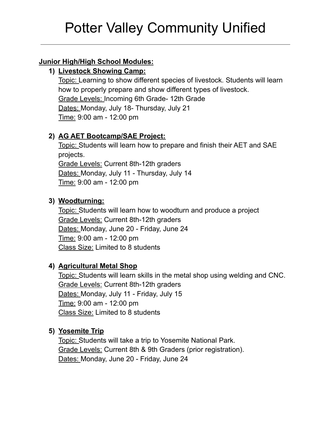### **Junior High/High School Modules:**

### **1) Livestock Showing Camp:**

Topic: Learning to show different species of livestock. Students will learn how to properly prepare and show different types of livestock. Grade Levels: Incoming 6th Grade- 12th Grade Dates: Monday, July 18- Thursday, July 21 Time: 9:00 am - 12:00 pm

# **2) AG AET Bootcamp/SAE Project:**

Topic: Students will learn how to prepare and finish their AET and SAE projects. Grade Levels: Current 8th-12th graders Dates: Monday, July 11 - Thursday, July 14 Time: 9:00 am - 12:00 pm

### **3) Woodturning:**

Topic: Students will learn how to woodturn and produce a project Grade Levels: Current 8th-12th graders Dates: Monday, June 20 - Friday, June 24 Time: 9:00 am - 12:00 pm Class Size: Limited to 8 students

# **4) Agricultural Metal Shop**

Topic: Students will learn skills in the metal shop using welding and CNC. Grade Levels: Current 8th-12th graders Dates: Monday, July 11 - Friday, July 15 Time: 9:00 am - 12:00 pm Class Size: Limited to 8 students

#### **5) Yosemite Trip**

Topic: Students will take a trip to Yosemite National Park. Grade Levels: Current 8th & 9th Graders (prior registration). Dates: Monday, June 20 - Friday, June 24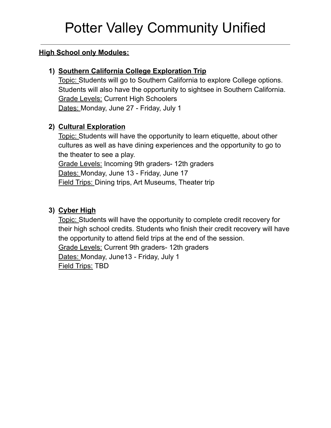#### **High School only Modules:**

### **1) Southern California College Exploration Trip**

Topic: Students will go to Southern California to explore College options. Students will also have the opportunity to sightsee in Southern California. Grade Levels: Current High Schoolers Dates: Monday, June 27 - Friday, July 1

# **2) Cultural Exploration**

Topic: Students will have the opportunity to learn etiquette, about other cultures as well as have dining experiences and the opportunity to go to the theater to see a play. Grade Levels: Incoming 9th graders- 12th graders Dates: Monday, June 13 - Friday, June 17 Field Trips: Dining trips, Art Museums, Theater trip

# **3) Cyber High**

Topic: Students will have the opportunity to complete credit recovery for their high school credits. Students who finish their credit recovery will have the opportunity to attend field trips at the end of the session. Grade Levels: Current 9th graders- 12th graders Dates: Monday, June13 - Friday, July 1 Field Trips: TBD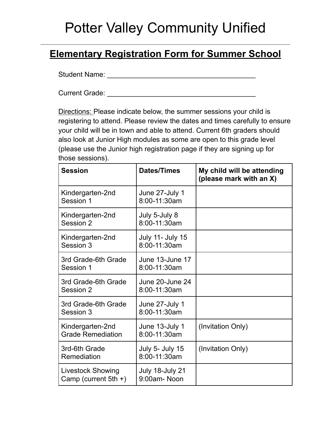# **Elementary Registration Form for Summer School**

Student Name: \_\_\_\_\_\_\_\_\_\_\_\_\_\_\_\_\_\_\_\_\_\_\_\_\_\_\_\_\_\_\_\_\_\_\_\_\_\_

Current Grade: \_\_\_\_\_\_\_\_\_\_\_\_\_\_\_\_\_\_\_\_\_\_\_\_\_\_\_\_\_\_\_\_\_\_\_\_\_\_

Directions: Please indicate below, the summer sessions your child is registering to attend. Please review the dates and times carefully to ensure your child will be in town and able to attend. Current 6th graders should also look at Junior High modules as some are open to this grade level (please use the Junior high registration page if they are signing up for those sessions).

| <b>Session</b>                                      | Dates/Times                             | My child will be attending<br>(please mark with an X) |
|-----------------------------------------------------|-----------------------------------------|-------------------------------------------------------|
| Kindergarten-2nd<br>Session 1                       | June 27-July 1<br>8:00-11:30am          |                                                       |
| Kindergarten-2nd<br>Session 2                       | July 5-July 8<br>8:00-11:30am           |                                                       |
| Kindergarten-2nd<br>Session 3                       | <b>July 11- July 15</b><br>8:00-11:30am |                                                       |
| 3rd Grade-6th Grade<br>Session 1                    | June 13-June 17<br>8:00-11:30am         |                                                       |
| 3rd Grade-6th Grade<br>Session 2                    | June 20-June 24<br>8:00-11:30am         |                                                       |
| 3rd Grade-6th Grade<br>Session 3                    | June 27-July 1<br>8:00-11:30am          |                                                       |
| Kindergarten-2nd<br><b>Grade Remediation</b>        | June 13-July 1<br>8:00-11:30am          | (Invitation Only)                                     |
| 3rd-6th Grade<br>Remediation                        | July 5- July 15<br>8:00-11:30am         | (Invitation Only)                                     |
| <b>Livestock Showing</b><br>Camp (current $5th +$ ) | July 18-July 21<br>9:00am-Noon          |                                                       |